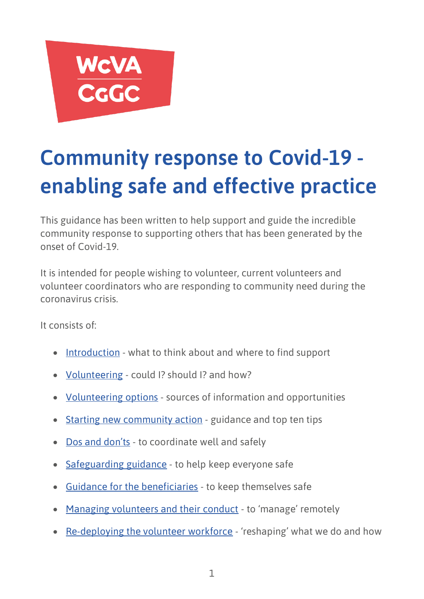

# **Community response to Covid-19 enabling safe and effective practice**

This guidance has been written to help support and guide the incredible community response to supporting others that has been generated by the onset of Covid-19.

It is intended for people wishing to volunteer, current volunteers and volunteer coordinators who are responding to community need during the coronavirus crisis.

It consists of:

- **[Introduction](#page-2-0)** what to think about and where to find support
- [Volunteering](#page-2-1) could I? should I? and how?
- [Volunteering options](#page-3-0) sources of information and opportunities
- [Starting new community action](#page-4-0) guidance and top ten tips
- [Dos and don'ts](#page-6-0) to coordinate well and safely
- [Safeguarding guidance](#page-7-0) to help keep everyone safe
- [Guidance for the beneficiaries](#page-7-1) to keep themselves safe
- [Managing volunteers and their conduct](#page-8-0) to 'manage' remotely
- [Re-deploying the volunteer workforce](#page-8-1) 'reshaping' what we do and how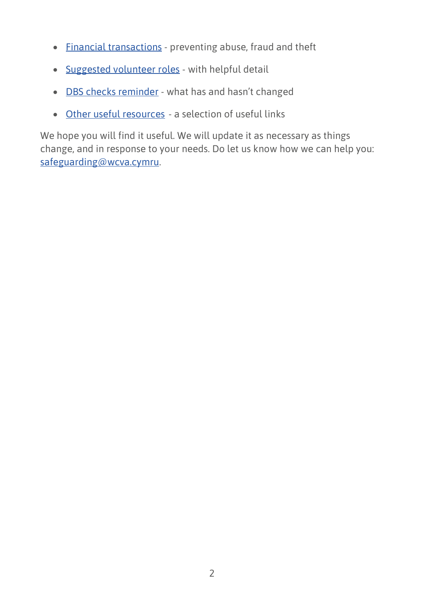- [Financial transactions](#page-9-0) preventing abuse, fraud and theft
- [Suggested volunteer roles](#page-9-1) with helpful detail
- [DBS checks reminder](#page-12-0) what has and hasn't changed
- [Other useful resources](#page-12-1) a selection of useful links

We hope you will find it useful. We will update it as necessary as things change, and in response to your needs. Do let us know how we can help you: [safeguarding@wcva.cymru.](mailto:safeguarding@wcva.cymru)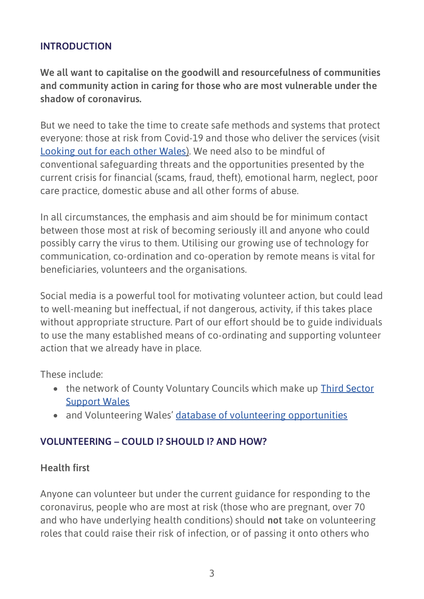# <span id="page-2-0"></span>**INTRODUCTION**

**We all want to capitalise on the goodwill and resourcefulness of communities and community action in caring for those who are most vulnerable under the shadow of coronavirus.**

But we need to take the time to create safe methods and systems that protect everyone: those at risk from Covid-19 and those who deliver the services (visit [Looking out for each other Wales\)](https://gov.wales/first-minister-launches-looking-out-each-other-campaign-wales). We need also to be mindful of conventional safeguarding threats and the opportunities presented by the current crisis for financial (scams, fraud, theft), emotional harm, neglect, poor care practice, domestic abuse and all other forms of abuse.

In all circumstances, the emphasis and aim should be for minimum contact between those most at risk of becoming seriously ill and anyone who could possibly carry the virus to them. Utilising our growing use of technology for communication, co-ordination and co-operation by remote means is vital for beneficiaries, volunteers and the organisations.

Social media is a powerful tool for motivating volunteer action, but could lead to well-meaning but ineffectual, if not dangerous, activity, if this takes place without appropriate structure. Part of our effort should be to guide individuals to use the many established means of co-ordinating and supporting volunteer action that we already have in place.

These include:

- the network of County Voluntary Councils which make up Third Sector [Support Wales](https://thirdsectorsupport.wales/)
- and Volunteering Wales' [database of volunteering opportunities](https://volunteering-wales.net/vk/volunteers/search.htm?searchString=&categories=3042)

# <span id="page-2-1"></span>**VOLUNTEERING – COULD I? SHOULD I? AND HOW?**

#### **Health first**

Anyone can volunteer but under the current guidance for responding to the coronavirus, people who are most at risk (those who are pregnant, over 70 and who have underlying health conditions) should **not** take on volunteering roles that could raise their risk of infection, or of passing it onto others who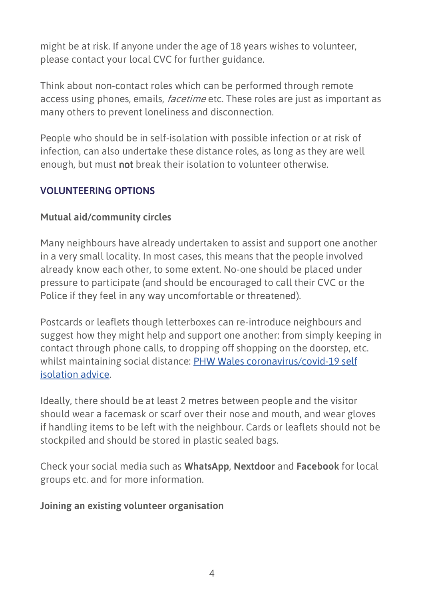might be at risk. If anyone under the age of 18 years wishes to volunteer, please contact your local CVC for further guidance.

Think about non-contact roles which can be performed through remote access using phones, emails, *facetime* etc. These roles are just as important as many others to prevent loneliness and disconnection.

People who should be in self-isolation with possible infection or at risk of infection, can also undertake these distance roles, as long as they are well enough, but must not break their isolation to volunteer otherwise.

# <span id="page-3-0"></span>**VOLUNTEERING OPTIONS**

# **Mutual aid/community circles**

Many neighbours have already undertaken to assist and support one another in a very small locality. In most cases, this means that the people involved already know each other, to some extent. No-one should be placed under pressure to participate (and should be encouraged to call their CVC or the Police if they feel in any way uncomfortable or threatened).

Postcards or leaflets though letterboxes can re-introduce neighbours and suggest how they might help and support one another: from simply keeping in contact through phone calls, to dropping off shopping on the doorstep, etc. whilst maintaining social distance: [PHW Wales coronavirus/covid-19 self](https://phw.nhs.wales/topics/latest-information-on-novel-coronavirus-covid-19/self-isolation-advice/)  [isolation advice.](https://phw.nhs.wales/topics/latest-information-on-novel-coronavirus-covid-19/self-isolation-advice/)

Ideally, there should be at least 2 metres between people and the visitor should wear a facemask or scarf over their nose and mouth, and wear gloves if handling items to be left with the neighbour. Cards or leaflets should not be stockpiled and should be stored in plastic sealed bags.

Check your social media such as **WhatsApp**, **Nextdoor** and **Facebook** for local groups etc. and for more information.

#### **Joining an existing volunteer organisation**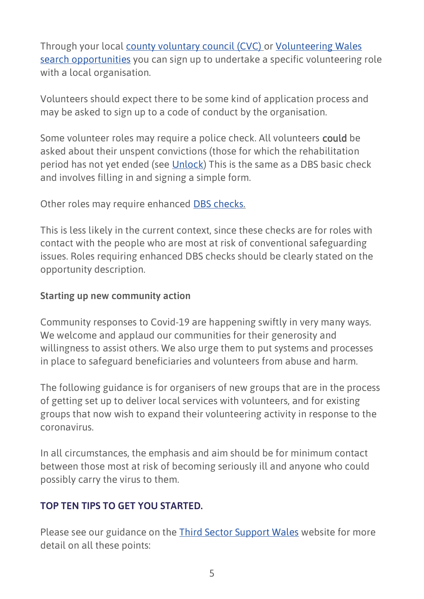Through your local [county voluntary council \(CVC\)](https://thirdsectorsupport.wales/) or [Volunteering Wales](https://volunteering-wales.net/vk/volunteers/search.htm?searchString=&categories=3042)  [search opportunities](https://volunteering-wales.net/vk/volunteers/search.htm?searchString=&categories=3042) you can sign up to undertake a specific volunteering role with a local organisation.

Volunteers should expect there to be some kind of application process and may be asked to sign up to a code of conduct by the organisation.

Some volunteer roles may require a police check. All volunteers could be asked about their unspent convictions (those for which the rehabilitation period has not yet ended (see [Unlock\)](https://www.unlock.org.uk/) This is the same as a DBS basic check and involves filling in and signing a simple form.

Other roles may require enhanced **DBS checks.** 

This is less likely in the current context, since these checks are for roles with contact with the people who are most at risk of conventional safeguarding issues. Roles requiring enhanced DBS checks should be clearly stated on the opportunity description.

### <span id="page-4-0"></span>**Starting up new community action**

Community responses to Covid-19 are happening swiftly in very many ways. We welcome and applaud our communities for their generosity and willingness to assist others. We also urge them to put systems and processes in place to safeguard beneficiaries and volunteers from abuse and harm.

The following guidance is for organisers of new groups that are in the process of getting set up to deliver local services with volunteers, and for existing groups that now wish to expand their volunteering activity in response to the coronavirus.

In all circumstances, the emphasis and aim should be for minimum contact between those most at risk of becoming seriously ill and anyone who could possibly carry the virus to them.

#### **TOP TEN TIPS TO GET YOU STARTED.**

Please see our guidance on the [Third Sector Support Wales](https://thirdsectorsupport.wales/) website for more detail on all these points: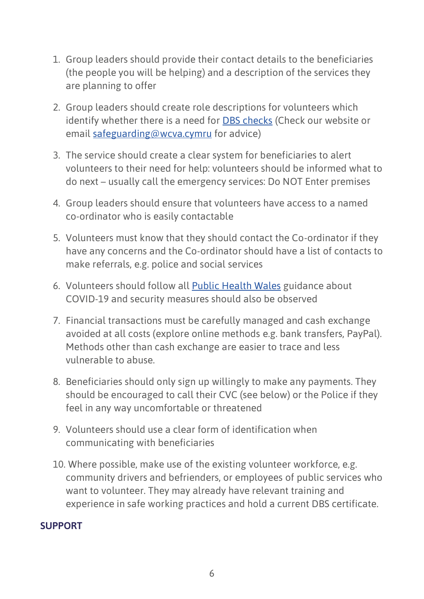- 1. Group leaders should provide their contact details to the beneficiaries (the people you will be helping) and a description of the services they are planning to offer
- 2. Group leaders should create role descriptions for volunteers which identify whether there is a need for [DBS checks](https://www.gov.uk/government/collections/dbs-eligibility-guidance) (Check our website or email [safeguarding@wcva.cymru](mailto:safeguarding@wcva.cymru) for advice)
- 3. The service should create a clear system for beneficiaries to alert volunteers to their need for help: volunteers should be informed what to do next – usually call the emergency services: Do NOT Enter premises
- 4. Group leaders should ensure that volunteers have access to a named co-ordinator who is easily contactable
- 5. Volunteers must know that they should contact the Co-ordinator if they have any concerns and the Co-ordinator should have a list of contacts to make referrals, e.g. police and social services
- 6. Volunteers should follow all [Public Health Wales](https://phw.nhs.wales/) guidance about COVID-19 and security measures should also be observed
- 7. Financial transactions must be carefully managed and cash exchange avoided at all costs (explore online methods e.g. bank transfers, PayPal). Methods other than cash exchange are easier to trace and less vulnerable to abuse.
- 8. Beneficiaries should only sign up willingly to make any payments. They should be encouraged to call their CVC (see below) or the Police if they feel in any way uncomfortable or threatened
- 9. Volunteers should use a clear form of identification when communicating with beneficiaries
- 10. Where possible, make use of the existing volunteer workforce, e.g. community drivers and befrienders, or employees of public services who want to volunteer. They may already have relevant training and experience in safe working practices and hold a current DBS certificate.

#### **SUPPORT**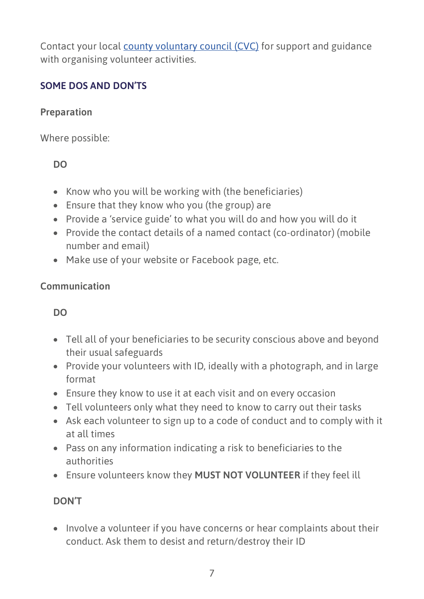Contact your local [county voluntary council \(CVC\)](https://thirdsectorsupport.wales/) for support and guidance with organising volunteer activities.

# <span id="page-6-0"></span>**SOME DOS AND DON'TS**

# **Preparation**

Where possible:

# **DO**

- Know who you will be working with (the beneficiaries)
- Ensure that they know who you (the group) are
- Provide a 'service guide' to what you will do and how you will do it
- Provide the contact details of a named contact (co-ordinator) (mobile number and email)
- Make use of your website or Facebook page, etc.

# **Communication**

# **DO**

- Tell all of your beneficiaries to be security conscious above and beyond their usual safeguards
- Provide your volunteers with ID, ideally with a photograph, and in large format
- Ensure they know to use it at each visit and on every occasion
- Tell volunteers only what they need to know to carry out their tasks
- Ask each volunteer to sign up to a code of conduct and to comply with it at all times
- Pass on any information indicating a risk to beneficiaries to the authorities
- Ensure volunteers know they **MUST NOT VOLUNTEER** if they feel ill

#### **DON'T**

• Involve a volunteer if you have concerns or hear complaints about their conduct. Ask them to desist and return/destroy their ID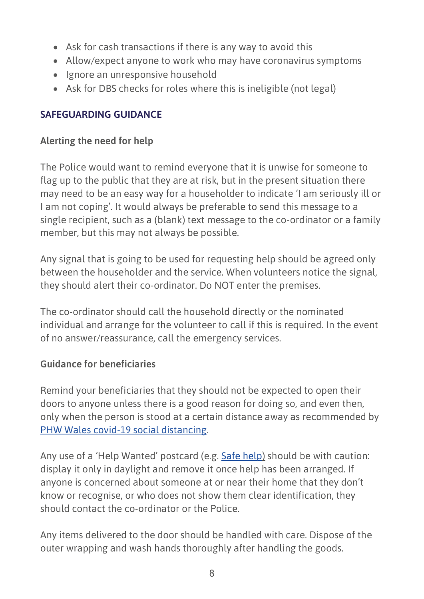- Ask for cash transactions if there is any way to avoid this
- Allow/expect anyone to work who may have coronavirus symptoms
- Ignore an unresponsive household
- Ask for DBS checks for roles where this is ineligible (not legal)

# <span id="page-7-0"></span>**SAFEGUARDING GUIDANCE**

# **Alerting the need for help**

The Police would want to remind everyone that it is unwise for someone to flag up to the public that they are at risk, but in the present situation there may need to be an easy way for a householder to indicate 'I am seriously ill or I am not coping'. It would always be preferable to send this message to a single recipient, such as a (blank) text message to the co-ordinator or a family member, but this may not always be possible.

Any signal that is going to be used for requesting help should be agreed only between the householder and the service. When volunteers notice the signal, they should alert their co-ordinator. Do NOT enter the premises.

The co-ordinator should call the household directly or the nominated individual and arrange for the volunteer to call if this is required. In the event of no answer/reassurance, call the emergency services.

# <span id="page-7-1"></span>**Guidance for beneficiaries**

Remind your beneficiaries that they should not be expected to open their doors to anyone unless there is a good reason for doing so, and even then, only when the person is stood at a certain distance away as recommended by [PHW Wales covid-19 social distancing.](https://phw.nhs.wales/topics/latest-information-on-novel-coronavirus-covid-19/guidance-on-social-distancing-for-everyone-in-the-uk-and-protecting-older-people-and-vulnerable-adults/)

Any use of a 'Help Wanted' postcard (e.g. [Safe help\)](https://gov.wales/safe-help) should be with caution: display it only in daylight and remove it once help has been arranged. If anyone is concerned about someone at or near their home that they don't know or recognise, or who does not show them clear identification, they should contact the co-ordinator or the Police.

Any items delivered to the door should be handled with care. Dispose of the outer wrapping and wash hands thoroughly after handling the goods.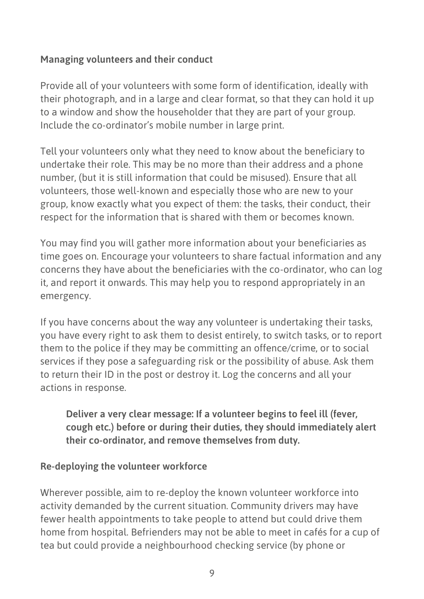# <span id="page-8-0"></span>**Managing volunteers and their conduct**

Provide all of your volunteers with some form of identification, ideally with their photograph, and in a large and clear format, so that they can hold it up to a window and show the householder that they are part of your group. Include the co-ordinator's mobile number in large print.

Tell your volunteers only what they need to know about the beneficiary to undertake their role. This may be no more than their address and a phone number, (but it is still information that could be misused). Ensure that all volunteers, those well-known and especially those who are new to your group, know exactly what you expect of them: the tasks, their conduct, their respect for the information that is shared with them or becomes known.

You may find you will gather more information about your beneficiaries as time goes on. Encourage your volunteers to share factual information and any concerns they have about the beneficiaries with the co-ordinator, who can log it, and report it onwards. This may help you to respond appropriately in an emergency.

If you have concerns about the way any volunteer is undertaking their tasks, you have every right to ask them to desist entirely, to switch tasks, or to report them to the police if they may be committing an offence/crime, or to social services if they pose a safeguarding risk or the possibility of abuse. Ask them to return their ID in the post or destroy it. Log the concerns and all your actions in response.

**Deliver a very clear message: If a volunteer begins to feel ill (fever, cough etc.) before or during their duties, they should immediately alert their co-ordinator, and remove themselves from duty.**

# <span id="page-8-1"></span>**Re-deploying the volunteer workforce**

Wherever possible, aim to re-deploy the known volunteer workforce into activity demanded by the current situation. Community drivers may have fewer health appointments to take people to attend but could drive them home from hospital. Befrienders may not be able to meet in cafés for a cup of tea but could provide a neighbourhood checking service (by phone or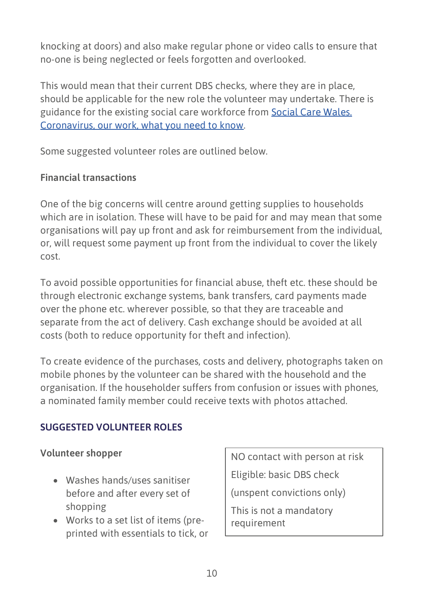knocking at doors) and also make regular phone or video calls to ensure that no-one is being neglected or feels forgotten and overlooked.

This would mean that their current DBS checks, where they are in place, should be applicable for the new role the volunteer may undertake. There is guidance for the existing social care workforce from [Social Care Wales.](https://socialcare.wales/about/coronavirus-and-our-work-what-you-need-to-know)  [Coronavirus, our work, what you need to know.](https://socialcare.wales/about/coronavirus-and-our-work-what-you-need-to-know)

Some suggested volunteer roles are outlined below.

# <span id="page-9-0"></span>**Financial transactions**

One of the big concerns will centre around getting supplies to households which are in isolation. These will have to be paid for and may mean that some organisations will pay up front and ask for reimbursement from the individual, or, will request some payment up front from the individual to cover the likely cost.

To avoid possible opportunities for financial abuse, theft etc. these should be through electronic exchange systems, bank transfers, card payments made over the phone etc. wherever possible, so that they are traceable and separate from the act of delivery. Cash exchange should be avoided at all costs (both to reduce opportunity for theft and infection).

To create evidence of the purchases, costs and delivery, photographs taken on mobile phones by the volunteer can be shared with the household and the organisation. If the householder suffers from confusion or issues with phones, a nominated family member could receive texts with photos attached.

# <span id="page-9-1"></span>**SUGGESTED VOLUNTEER ROLES**

# **Volunteer shopper**

- Washes hands/uses sanitiser before and after every set of shopping
- Works to a set list of items (preprinted with essentials to tick, or

NO contact with person at risk

Eligible: basic DBS check

(unspent convictions only)

This is not a mandatory requirement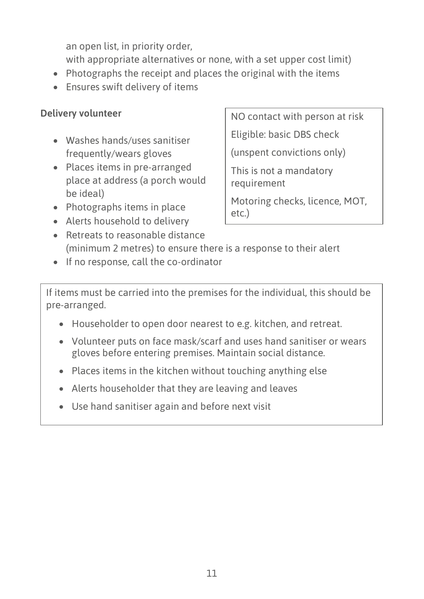an open list, in priority order, with appropriate alternatives or none, with a set upper cost limit)

- Photographs the receipt and places the original with the items
- Ensures swift delivery of items

# **Delivery volunteer**

- Washes hands/uses sanitiser frequently/wears gloves
- Places items in pre-arranged place at address (a porch would be ideal)
- Photographs items in place
- Alerts household to delivery
- Retreats to reasonable distance (minimum 2 metres) to ensure there is a response to their alert
- If no response, call the co-ordinator

If items must be carried into the premises for the individual, this should be pre-arranged.

- Householder to open door nearest to e.g. kitchen, and retreat.
- Volunteer puts on face mask/scarf and uses hand sanitiser or wears gloves before entering premises. Maintain social distance.
- Places items in the kitchen without touching anything else
- Alerts householder that they are leaving and leaves
- Use hand sanitiser again and before next visit

NO contact with person at risk

Eligible: basic DBS check

(unspent convictions only)

This is not a mandatory requirement

Motoring checks, licence, MOT, etc.)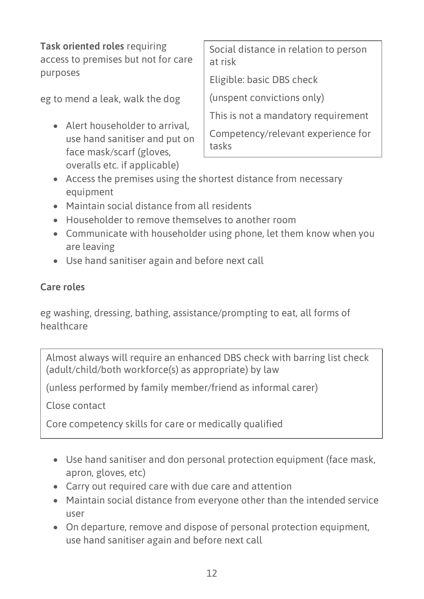**Task oriented roles** requiring access to premises but not for care purposes eg to mend a leak, walk the dog • Alert householder to arrival, use hand sanitiser and put on face mask/scarf (gloves, Social distance in relation to person at risk Eligible: basic DBS check (unspent convictions only) This is not a mandatory requirement Competency/relevant experience for tasks

- Access the premises using the shortest distance from necessary equipment
- Maintain social distance from all residents

overalls etc. if applicable)

- Householder to remove themselves to another room
- Communicate with householder using phone, let them know when you are leaving
- Use hand sanitiser again and before next call

# **Care roles**

eg washing, dressing, bathing, assistance/prompting to eat, all forms of healthcare

Almost always will require an enhanced DBS check with barring list check (adult/child/both workforce(s) as appropriate) by law

(unless performed by family member/friend as informal carer)

Close contact

Core competency skills for care or medically qualified

- Use hand sanitiser and don personal protection equipment (face mask, apron, gloves, etc)
- Carry out required care with due care and attention
- Maintain social distance from everyone other than the intended service user
- On departure, remove and dispose of personal protection equipment, use hand sanitiser again and before next call